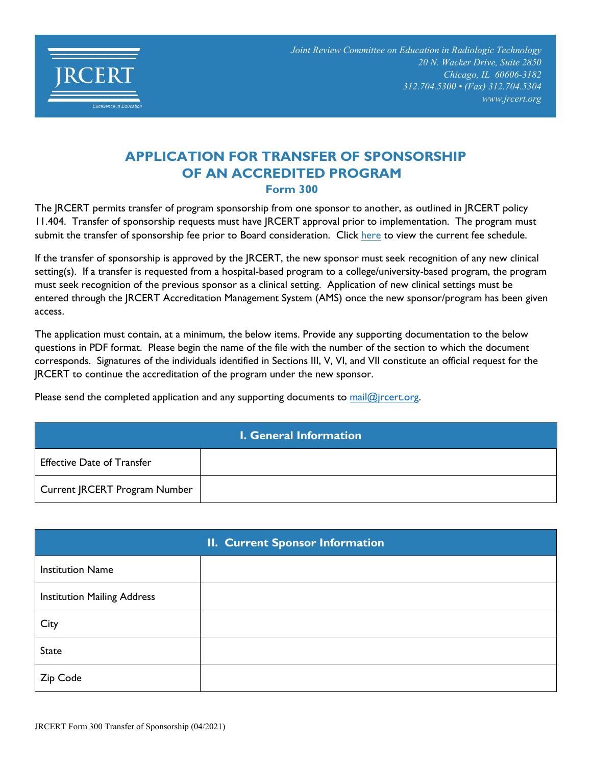

## **APPLICATION FOR TRANSFER OF SPONSORSHIP OF AN ACCREDITED PROGRAM Form 300**

The JRCERT permits transfer of program sponsorship from one sponsor to another, as outlined in JRCERT policy 11.404. Transfer of sponsorship requests must have JRCERT approval prior to implementation. The program must submit the transfer of sponsorship fee prior to Board consideration. Click [here](https://www.jrcert.org/wp-content/uploads/Documents/Resources/Program-Resources/JRCERT_Fee_Schedule___Effective_1_1_2020-Revised-April-2022.pdf) to view the current fee schedule.

If the transfer of sponsorship is approved by the JRCERT, the new sponsor must seek recognition of any new clinical setting(s). If a transfer is requested from a hospital-based program to a college/university-based program, the program must seek recognition of the previous sponsor as a clinical setting. Application of new clinical settings must be entered through the JRCERT Accreditation Management System (AMS) once the new sponsor/program has been given access.

The application must contain, at a minimum, the below items. Provide any supporting documentation to the below questions in PDF format. Please begin the name of the file with the number of the section to which the document corresponds. Signatures of the individuals identified in Sections III, V, VI, and VII constitute an official request for the JRCERT to continue the accreditation of the program under the new sponsor.

Please send the completed application and any supporting documents to mail $@$ jrcert.org.

| <b>I. General Information</b>     |  |
|-----------------------------------|--|
| <b>Effective Date of Transfer</b> |  |
| Current JRCERT Program Number     |  |

|                                    | <b>II. Current Sponsor Information</b> |
|------------------------------------|----------------------------------------|
| <b>Institution Name</b>            |                                        |
| <b>Institution Mailing Address</b> |                                        |
| City                               |                                        |
| <b>State</b>                       |                                        |
| Zip Code                           |                                        |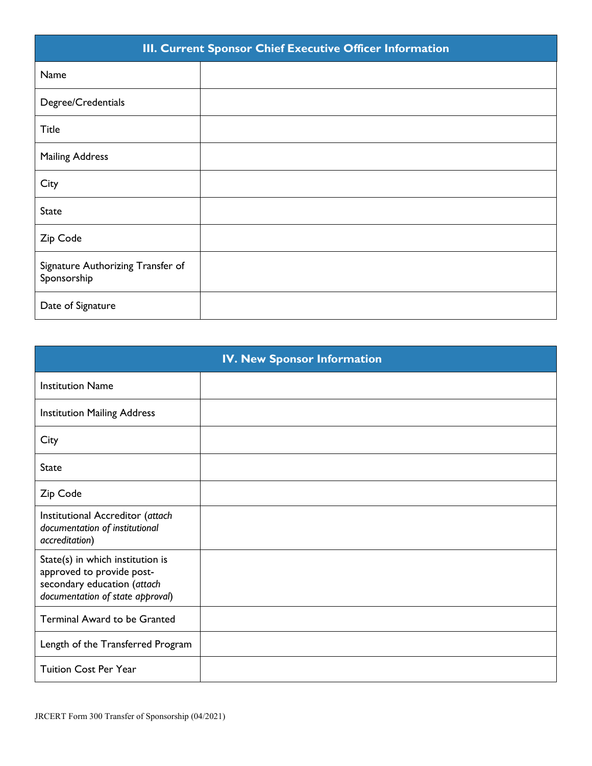| III. Current Sponsor Chief Executive Officer Information |  |
|----------------------------------------------------------|--|
| Name                                                     |  |
| Degree/Credentials                                       |  |
| <b>Title</b>                                             |  |
| <b>Mailing Address</b>                                   |  |
| City                                                     |  |
| <b>State</b>                                             |  |
| Zip Code                                                 |  |
| Signature Authorizing Transfer of<br>Sponsorship         |  |
| Date of Signature                                        |  |

| <b>IV. New Sponsor Information</b>                                                                                               |  |
|----------------------------------------------------------------------------------------------------------------------------------|--|
| <b>Institution Name</b>                                                                                                          |  |
| <b>Institution Mailing Address</b>                                                                                               |  |
| City                                                                                                                             |  |
| <b>State</b>                                                                                                                     |  |
| Zip Code                                                                                                                         |  |
| Institutional Accreditor (attach<br>documentation of institutional<br>accreditation)                                             |  |
| State(s) in which institution is<br>approved to provide post-<br>secondary education (attach<br>documentation of state approval) |  |
| <b>Terminal Award to be Granted</b>                                                                                              |  |
| Length of the Transferred Program                                                                                                |  |
| <b>Tuition Cost Per Year</b>                                                                                                     |  |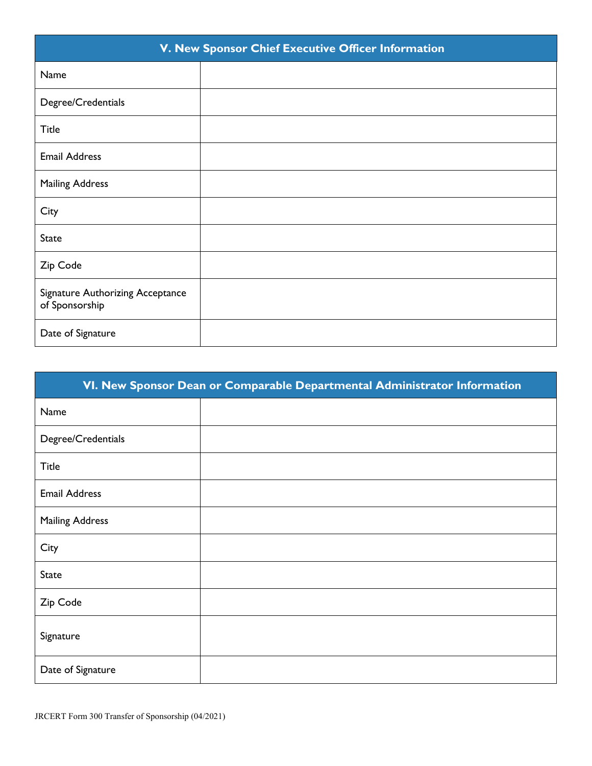| V. New Sponsor Chief Executive Officer Information |  |
|----------------------------------------------------|--|
| Name                                               |  |
| Degree/Credentials                                 |  |
| <b>Title</b>                                       |  |
| <b>Email Address</b>                               |  |
| <b>Mailing Address</b>                             |  |
| City                                               |  |
| <b>State</b>                                       |  |
| Zip Code                                           |  |
| Signature Authorizing Acceptance<br>of Sponsorship |  |
| Date of Signature                                  |  |

| VI. New Sponsor Dean or Comparable Departmental Administrator Information |  |
|---------------------------------------------------------------------------|--|
| Name                                                                      |  |
| Degree/Credentials                                                        |  |
| <b>Title</b>                                                              |  |
| <b>Email Address</b>                                                      |  |
| <b>Mailing Address</b>                                                    |  |
| City                                                                      |  |
| <b>State</b>                                                              |  |
| Zip Code                                                                  |  |
| Signature                                                                 |  |
| Date of Signature                                                         |  |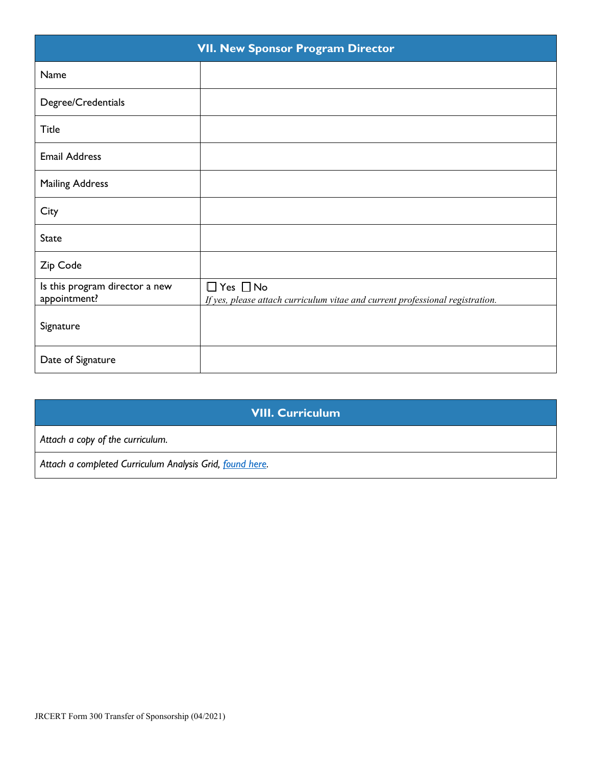| <b>VII. New Sponsor Program Director</b>       |                                                                                                       |
|------------------------------------------------|-------------------------------------------------------------------------------------------------------|
| Name                                           |                                                                                                       |
| Degree/Credentials                             |                                                                                                       |
| <b>Title</b>                                   |                                                                                                       |
| <b>Email Address</b>                           |                                                                                                       |
| <b>Mailing Address</b>                         |                                                                                                       |
| City                                           |                                                                                                       |
| <b>State</b>                                   |                                                                                                       |
| Zip Code                                       |                                                                                                       |
| Is this program director a new<br>appointment? | $\Box$ Yes $\Box$ No<br>If yes, please attach curriculum vitae and current professional registration. |
| Signature                                      |                                                                                                       |
| Date of Signature                              |                                                                                                       |

## **VIII. Curriculum**

*Attach a copy of the curriculum.*

*Attach a completed Curriculum Analysis Grid, [found here](https://www.jrcert.org/programs-faculty/program-resources/curriculum-analysis-grids/).*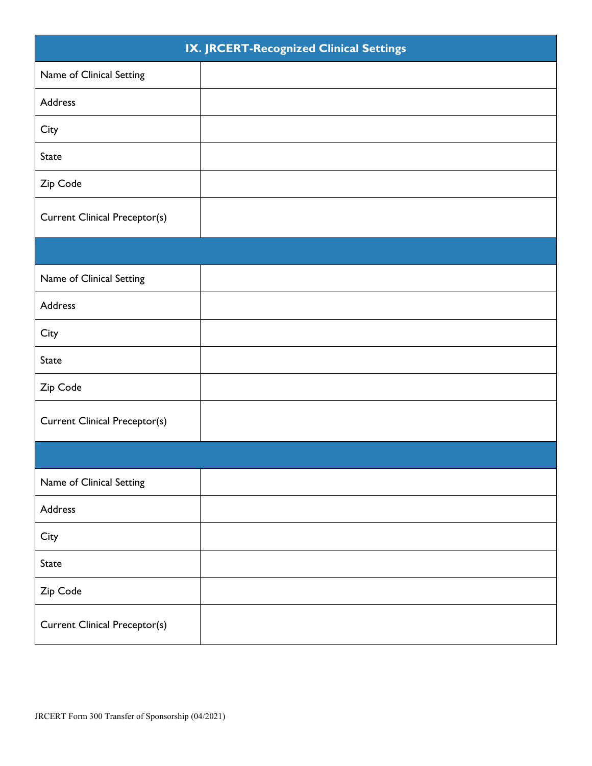| IX. JRCERT-Recognized Clinical Settings |  |
|-----------------------------------------|--|
| Name of Clinical Setting                |  |
| Address                                 |  |
| City                                    |  |
| <b>State</b>                            |  |
| Zip Code                                |  |
| <b>Current Clinical Preceptor(s)</b>    |  |
|                                         |  |
| Name of Clinical Setting                |  |
| Address                                 |  |
| City                                    |  |
| State                                   |  |
| Zip Code                                |  |
| <b>Current Clinical Preceptor(s)</b>    |  |
|                                         |  |
| Name of Clinical Setting                |  |
| Address                                 |  |
| City                                    |  |
| <b>State</b>                            |  |
| Zip Code                                |  |
| <b>Current Clinical Preceptor(s)</b>    |  |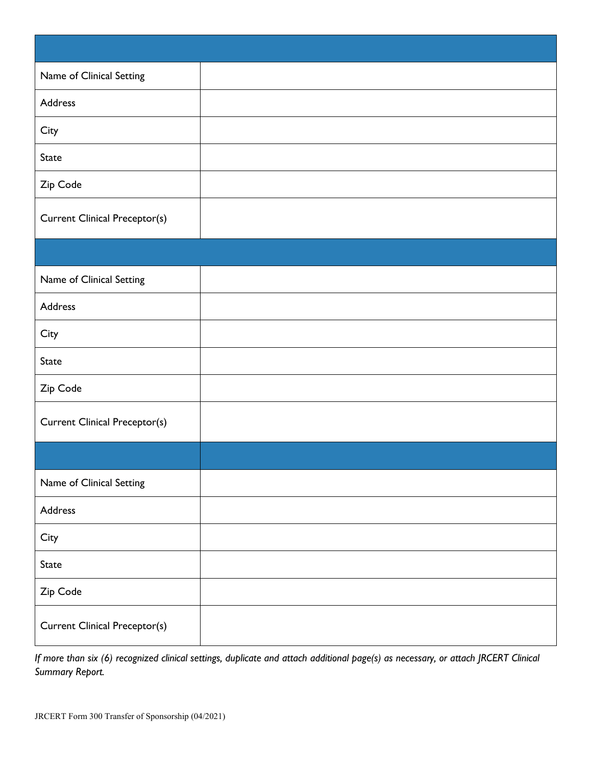| Name of Clinical Setting             |  |
|--------------------------------------|--|
| Address                              |  |
| City                                 |  |
| <b>State</b>                         |  |
| Zip Code                             |  |
| <b>Current Clinical Preceptor(s)</b> |  |
|                                      |  |
| Name of Clinical Setting             |  |
| Address                              |  |
| City                                 |  |
| <b>State</b>                         |  |
| Zip Code                             |  |
| <b>Current Clinical Preceptor(s)</b> |  |
|                                      |  |
| Name of Clinical Setting             |  |
| Address                              |  |
| City                                 |  |
| <b>State</b>                         |  |
| Zip Code                             |  |
| <b>Current Clinical Preceptor(s)</b> |  |

*If more than six (6) recognized clinical settings, duplicate and attach additional page(s) as necessary, or attach JRCERT Clinical Summary Report.*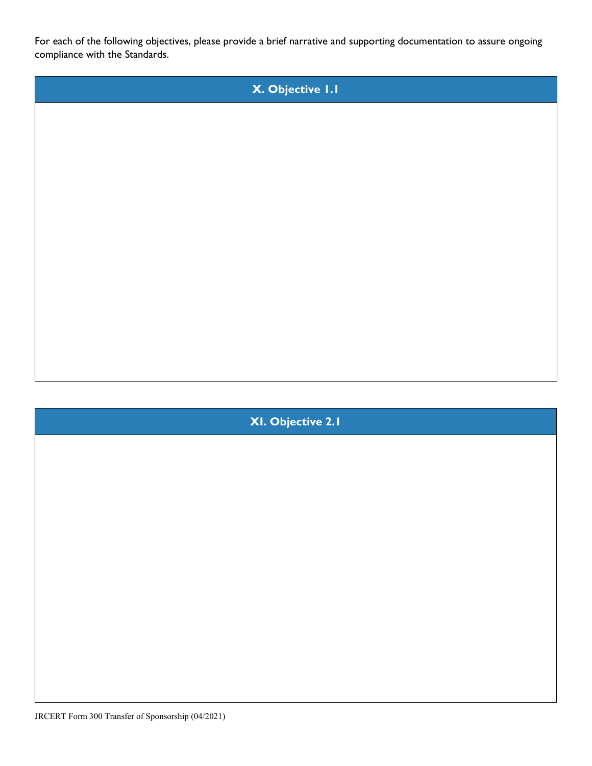For each of the following objectives, please provide a brief narrative and supporting documentation to assure ongoing compliance with the Standards.



**XI. Objective 2.1**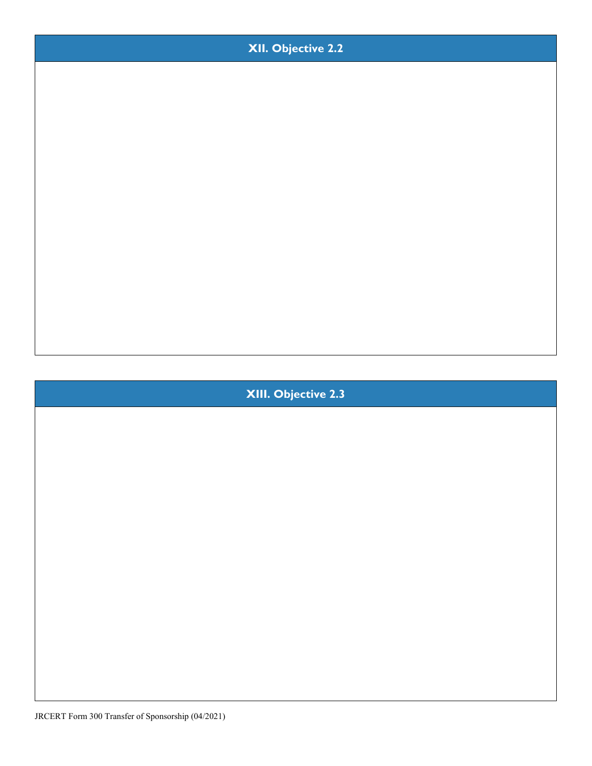

**XIII. Objective 2.3**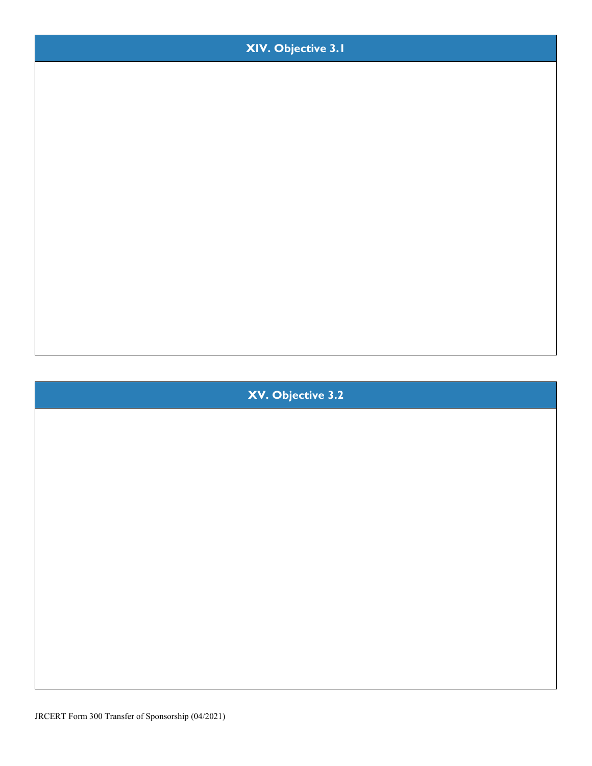

**XIV. Objective 3.1**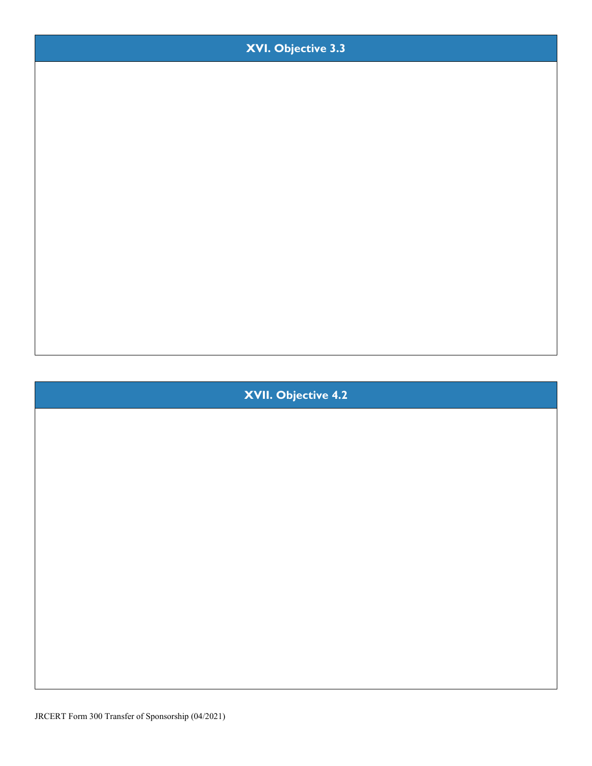

**XVI. Objective 3.3**